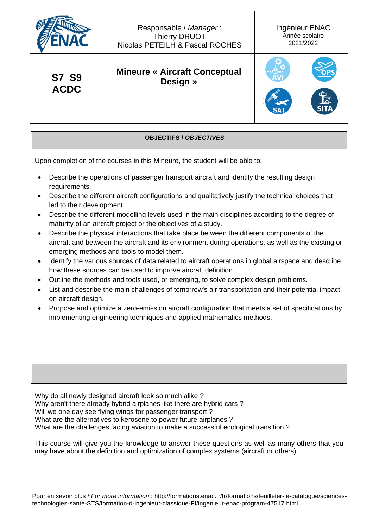|              | Responsable / Manager:<br><b>Thierry DRUOT</b><br>Nicolas PETEILH & Pascal ROCHES | Ingénieur ENAC<br>Année scolaire<br>2021/2022 |
|--------------|-----------------------------------------------------------------------------------|-----------------------------------------------|
| <b>S7_S9</b> | <b>Mineure « Aircraft Conceptual</b>                                              | ᇤ                                             |
| <b>ACDC</b>  | Design »                                                                          | ثیما                                          |

**OBJECTIFS /** *OBJECTIVES*

Upon completion of the courses in this Mineure, the student will be able to:

- Describe the operations of passenger transport aircraft and identify the resulting design requirements.
- Describe the different aircraft configurations and qualitatively justify the technical choices that led to their development.
- Describe the different modelling levels used in the main disciplines according to the degree of maturity of an aircraft project or the objectives of a study.
- Describe the physical interactions that take place between the different components of the aircraft and between the aircraft and its environment during operations, as well as the existing or emerging methods and tools to model them.
- Identify the various sources of data related to aircraft operations in global airspace and describe how these sources can be used to improve aircraft definition.
- Outline the methods and tools used, or emerging, to solve complex design problems.
- List and describe the main challenges of tomorrow's air transportation and their potential impact on aircraft design.
- Propose and optimize a zero-emission aircraft configuration that meets a set of specifications by implementing engineering techniques and applied mathematics methods.

Why do all newly designed aircraft look so much alike ? Why aren't there already hybrid airplanes like there are hybrid cars ? Will we one day see flying wings for passenger transport ? What are the alternatives to kerosene to power future airplanes ? What are the challenges facing aviation to make a successful ecological transition ?

This course will give you the knowledge to answer these questions as well as many others that you may have about the definition and optimization of complex systems (aircraft or others).